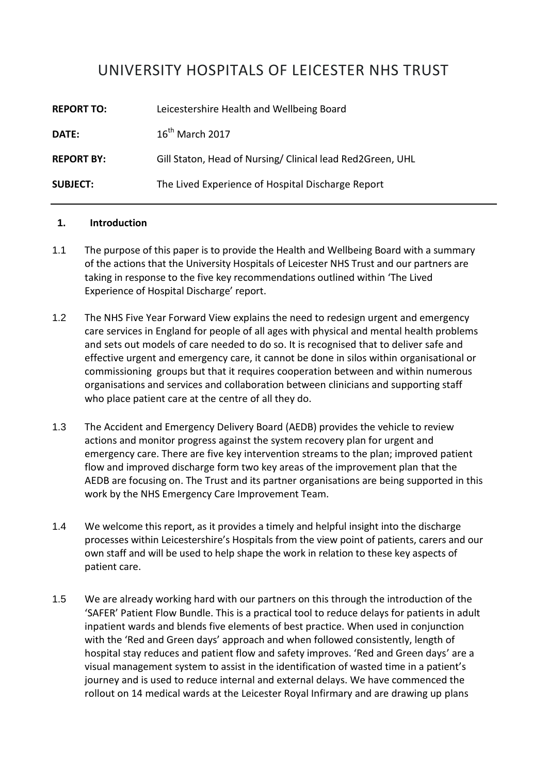## UNIVERSITY HOSPITALS OF LEICESTER NHS TRUST

| <b>REPORT TO:</b> | Leicestershire Health and Wellbeing Board                  |
|-------------------|------------------------------------------------------------|
| DATE:             | $16th$ March 2017                                          |
| <b>REPORT BY:</b> | Gill Staton, Head of Nursing/ Clinical lead Red2Green, UHL |
| <b>SUBJECT:</b>   | The Lived Experience of Hospital Discharge Report          |

## **1. Introduction**

- 1.1 The purpose of this paper is to provide the Health and Wellbeing Board with a summary of the actions that the University Hospitals of Leicester NHS Trust and our partners are taking in response to the five key recommendations outlined within 'The Lived Experience of Hospital Discharge' report.
- 1.2 The NHS Five Year Forward View explains the need to redesign urgent and emergency care services in England for people of all ages with physical and mental health problems and sets out models of care needed to do so. It is recognised that to deliver safe and effective urgent and emergency care, it cannot be done in silos within organisational or commissioning groups but that it requires cooperation between and within numerous organisations and services and collaboration between clinicians and supporting staff who place patient care at the centre of all they do.
- 1.3 The Accident and Emergency Delivery Board (AEDB) provides the vehicle to review actions and monitor progress against the system recovery plan for urgent and emergency care. There are five key intervention streams to the plan; improved patient flow and improved discharge form two key areas of the improvement plan that the AEDB are focusing on. The Trust and its partner organisations are being supported in this work by the NHS Emergency Care Improvement Team.
- 1.4 We welcome this report, as it provides a timely and helpful insight into the discharge processes within Leicestershire's Hospitals from the view point of patients, carers and our own staff and will be used to help shape the work in relation to these key aspects of patient care.
- 1.5 We are already working hard with our partners on this through the introduction of the 'SAFER' Patient Flow Bundle. This is a practical tool to reduce delays for patients in adult inpatient wards and blends five elements of best practice. When used in conjunction with the 'Red and Green days' approach and when followed consistently, length of hospital stay reduces and patient flow and safety improves. 'Red and Green days' are a visual management system to assist in the identification of wasted time in a patient's journey and is used to reduce internal and external delays. We have commenced the rollout on 14 medical wards at the Leicester Royal Infirmary and are drawing up plans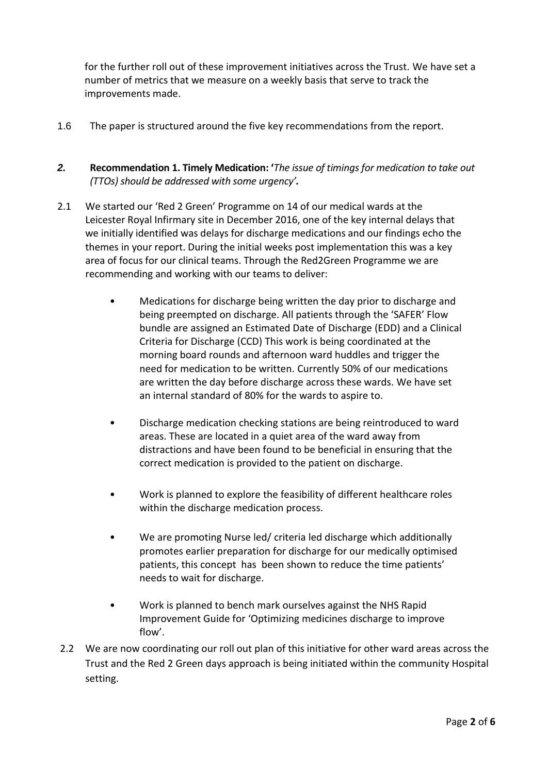for the further roll out of these improvement initiatives across the Trust. We have set a number of metrics that we measure on a weekly basis that serve to track the improvements made.

- 1.6 The paper is structured around the five key recommendations from the report.
- *2.* **Recommendation 1. Timely Medication: '***The issue of timings for medication to take out (TTOs) should be addressed with some urgency'.*
- 2.1 We started our 'Red 2 Green' Programme on 14 of our medical wards at the Leicester Royal Infirmary site in December 2016, one of the key internal delays that we initially identified was delays for discharge medications and our findings echo the themes in your report. During the initial weeks post implementation this was a key area of focus for our clinical teams. Through the Red2Green Programme we are recommending and working with our teams to deliver:
	- Medications for discharge being written the day prior to discharge and being preempted on discharge. All patients through the 'SAFER' Flow bundle are assigned an Estimated Date of Discharge (EDD) and a Clinical Criteria for Discharge (CCD) This work is being coordinated at the morning board rounds and afternoon ward huddles and trigger the need for medication to be written. Currently 50% of our medications are written the day before discharge across these wards. We have set an internal standard of 80% for the wards to aspire to.
	- Discharge medication checking stations are being reintroduced to ward areas. These are located in a quiet area of the ward away from distractions and have been found to be beneficial in ensuring that the correct medication is provided to the patient on discharge.
	- Work is planned to explore the feasibility of different healthcare roles within the discharge medication process.
	- We are promoting Nurse led/ criteria led discharge which additionally promotes earlier preparation for discharge for our medically optimised patients, this concept has been shown to reduce the time patients' needs to wait for discharge.
	- Work is planned to bench mark ourselves against the NHS Rapid Improvement Guide for 'Optimizing medicines discharge to improve flow'.
- 2.2 We are now coordinating our roll out plan of this initiative for other ward areas across the Trust and the Red 2 Green days approach is being initiated within the community Hospital setting.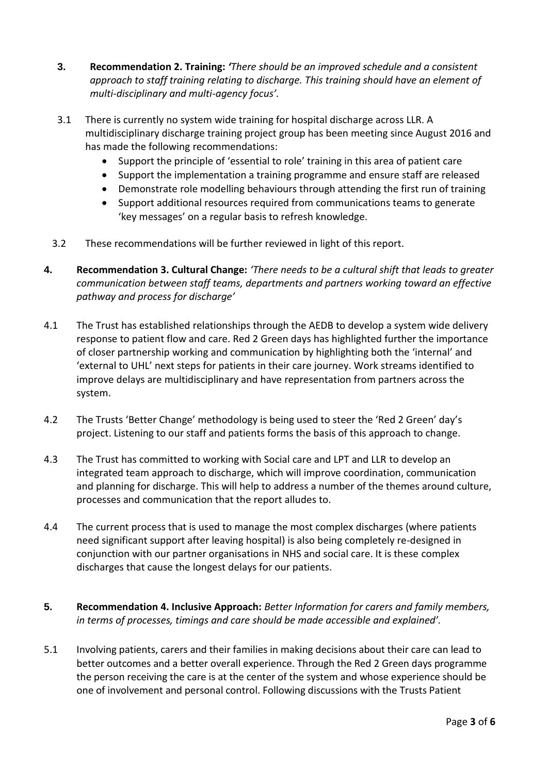- **3. Recommendation 2. Training:** *'There should be an improved schedule and a consistent approach to staff training relating to discharge. This training should have an element of multi-disciplinary and multi-agency focus'.*
- 3.1 There is currently no system wide training for hospital discharge across LLR. A multidisciplinary discharge training project group has been meeting since August 2016 and has made the following recommendations:
	- Support the principle of 'essential to role' training in this area of patient care
	- Support the implementation a training programme and ensure staff are released
	- Demonstrate role modelling behaviours through attending the first run of training
	- Support additional resources required from communications teams to generate 'key messages' on a regular basis to refresh knowledge.
- 3.2 These recommendations will be further reviewed in light of this report.
- **4. Recommendation 3. Cultural Change:** *'There needs to be a cultural shift that leads to greater communication between staff teams, departments and partners working toward an effective pathway and process for discharge'*
- 4.1 The Trust has established relationships through the AEDB to develop a system wide delivery response to patient flow and care. Red 2 Green days has highlighted further the importance of closer partnership working and communication by highlighting both the 'internal' and 'external to UHL' next steps for patients in their care journey. Work streams identified to improve delays are multidisciplinary and have representation from partners across the system.
- 4.2 The Trusts 'Better Change' methodology is being used to steer the 'Red 2 Green' day's project. Listening to our staff and patients forms the basis of this approach to change.
- 4.3 The Trust has committed to working with Social care and LPT and LLR to develop an integrated team approach to discharge, which will improve coordination, communication and planning for discharge. This will help to address a number of the themes around culture, processes and communication that the report alludes to.
- 4.4 The current process that is used to manage the most complex discharges (where patients need significant support after leaving hospital) is also being completely re-designed in conjunction with our partner organisations in NHS and social care. It is these complex discharges that cause the longest delays for our patients.
- **5. Recommendation 4. Inclusive Approach:** *Better Information for carers and family members, in terms of processes, timings and care should be made accessible and explained'.*
- 5.1 Involving patients, carers and their families in making decisions about their care can lead to better outcomes and a better overall experience. Through the Red 2 Green days programme the person receiving the care is at the center of the system and whose experience should be one of involvement and personal control. Following discussions with the Trusts Patient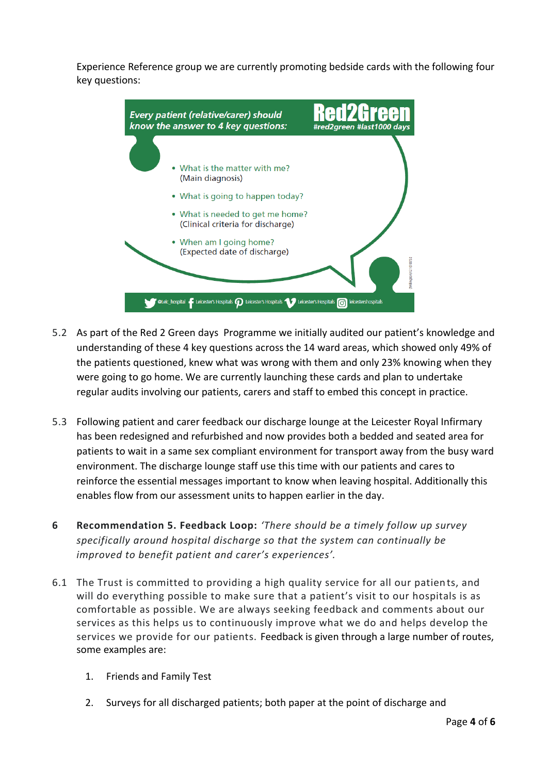Experience Reference group we are currently promoting bedside cards with the following four key questions:



- 5.2 As part of the Red 2 Green days Programme we initially audited our patient's knowledge and understanding of these 4 key questions across the 14 ward areas, which showed only 49% of the patients questioned, knew what was wrong with them and only 23% knowing when they were going to go home. We are currently launching these cards and plan to undertake regular audits involving our patients, carers and staff to embed this concept in practice.
- 5.3 Following patient and carer feedback our discharge lounge at the Leicester Royal Infirmary has been redesigned and refurbished and now provides both a bedded and seated area for patients to wait in a same sex compliant environment for transport away from the busy ward environment. The discharge lounge staff use this time with our patients and cares to reinforce the essential messages important to know when leaving hospital. Additionally this enables flow from our assessment units to happen earlier in the day.
- **6 Recommendation 5. Feedback Loop:** *'There should be a timely follow up survey specifically around hospital discharge so that the system can continually be improved to benefit patient and carer's experiences'.*
- 6.1 The Trust is committed to providing a high quality service for all our patients, and will do everything possible to make sure that a patient's visit to our hospitals is as comfortable as possible. We are always seeking feedback and comments about our services as this helps us to continuously improve what we do and helps develop the services we provide for our patients. Feedback is given through a large number of routes, some examples are:
	- 1. Friends and Family Test
	- 2. Surveys for all discharged patients; both paper at the point of discharge and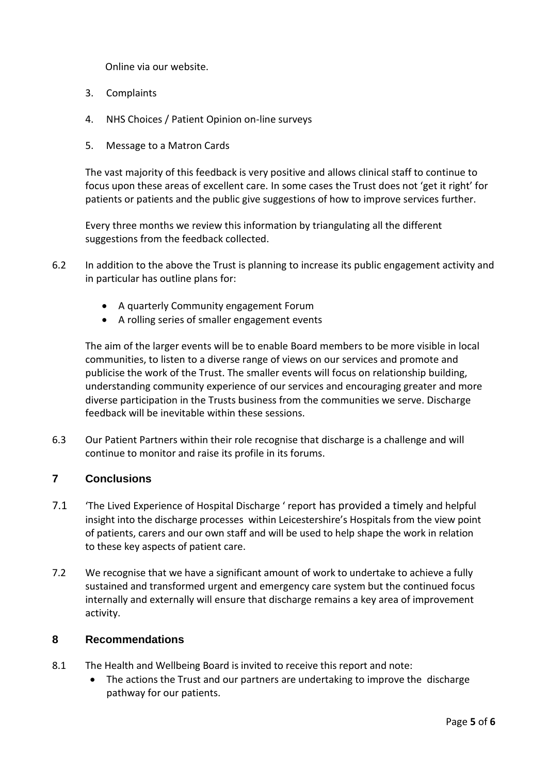Online via our website.

- 3. Complaints
- 4. NHS Choices / Patient Opinion on-line surveys
- 5. Message to a Matron Cards

The vast majority of this feedback is very positive and allows clinical staff to continue to focus upon these areas of excellent care. In some cases the Trust does not 'get it right' for patients or patients and the public give suggestions of how to improve services further.

Every three months we review this information by triangulating all the different suggestions from the feedback collected.

- 6.2 In addition to the above the Trust is planning to increase its public engagement activity and in particular has outline plans for:
	- A quarterly Community engagement Forum
	- A rolling series of smaller engagement events

The aim of the larger events will be to enable Board members to be more visible in local communities, to listen to a diverse range of views on our services and promote and publicise the work of the Trust. The smaller events will focus on relationship building, understanding community experience of our services and encouraging greater and more diverse participation in the Trusts business from the communities we serve. Discharge feedback will be inevitable within these sessions.

6.3 Our Patient Partners within their role recognise that discharge is a challenge and will continue to monitor and raise its profile in its forums.

## **7 Conclusions**

- 7.1 'The Lived Experience of Hospital Discharge ' report has provided a timely and helpful insight into the discharge processes within Leicestershire's Hospitals from the view point of patients, carers and our own staff and will be used to help shape the work in relation to these key aspects of patient care.
- 7.2 We recognise that we have a significant amount of work to undertake to achieve a fully sustained and transformed urgent and emergency care system but the continued focus internally and externally will ensure that discharge remains a key area of improvement activity.

## **8 Recommendations**

- 8.1 The Health and Wellbeing Board is invited to receive this report and note:
	- The actions the Trust and our partners are undertaking to improve the discharge pathway for our patients.